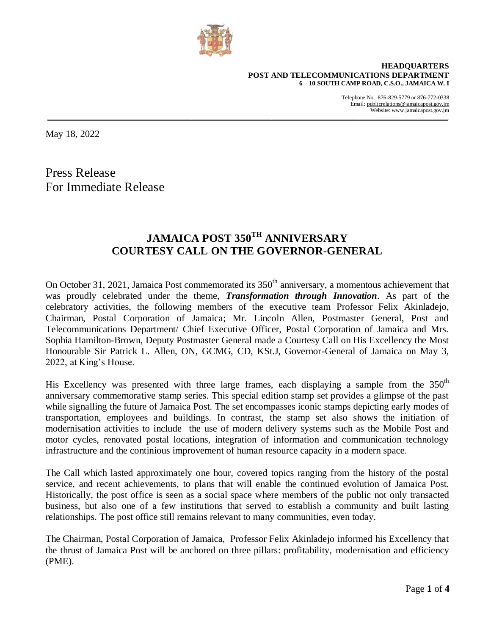

**HEADQUARTERS POST AND TELECOMMUNICATIONS DEPARTMENT 6 – 10 SOUTH CAMP ROAD, C.S.O., JAMAICA W. I**

> Telephone No. 876-829-5779 or 876-772-0338 Email: publicrelations@jamaicapost.gov.jm Website: [www.jamaicapost.gov.jm](http://www.jamaicapost.gov.jm/)

May 18, 2022

Press Release For Immediate Release

# **JAMAICA POST 350TH ANNIVERSARY COURTESY CALL ON THE GOVERNOR-GENERAL**

**\_\_\_\_\_\_\_\_\_\_\_\_\_\_\_\_\_\_\_\_\_\_\_\_\_\_\_\_\_\_\_\_\_\_\_\_\_\_\_\_\_\_\_\_\_\_\_\_\_\_\_\_\_\_\_\_\_\_\_\_\_\_\_\_\_\_\_\_\_\_\_\_\_\_\_\_\_\_\_\_\_\_\_\_\_\_\_\_\_\_\_\_\_\_\_\_\_\_\_\_\_\_\_\_\_\_\_\_\_\_\_\_\_\_\_\_\_\_\_\_\_\_\_\_\_**

On October 31, 2021, Jamaica Post commemorated its  $350<sup>th</sup>$  anniversary, a momentous achievement that was proudly celebrated under the theme, *Transformation through Innovation*. As part of the celebratory activities, the following members of the executive team Professor Felix Akinladejo, Chairman, Postal Corporation of Jamaica; Mr. Lincoln Allen, Postmaster General, Post and Telecommunications Department/ Chief Executive Officer, Postal Corporation of Jamaica and Mrs. Sophia Hamilton-Brown, Deputy Postmaster General made a Courtesy Call on His Excellency the Most Honourable Sir Patrick L. Allen, ON, GCMG, CD, KSt.J, Governor-General of Jamaica on May 3, 2022, at King's House.

His Excellency was presented with three large frames, each displaying a sample from the  $350<sup>th</sup>$ anniversary commemorative stamp series. This special edition stamp set provides a glimpse of the past while signalling the future of Jamaica Post. The set encompasses iconic stamps depicting early modes of transportation, employees and buildings. In contrast, the stamp set also shows the initiation of modernisation activities to include the use of modern delivery systems such as the Mobile Post and motor cycles, renovated postal locations, integration of information and communication technology infrastructure and the continious improvement of human resource capacity in a modern space.

The Call which lasted approximately one hour, covered topics ranging from the history of the postal service, and recent achievements, to plans that will enable the continued evolution of Jamaica Post. Historically, the post office is seen as a social space where members of the public not only transacted business, but also one of a few institutions that served to establish a community and built lasting relationships. The post office still remains relevant to many communities, even today.

The Chairman, Postal Corporation of Jamaica, Professor Felix Akinladejo informed his Excellency that the thrust of Jamaica Post will be anchored on three pillars: profitability, modernisation and efficiency (PME).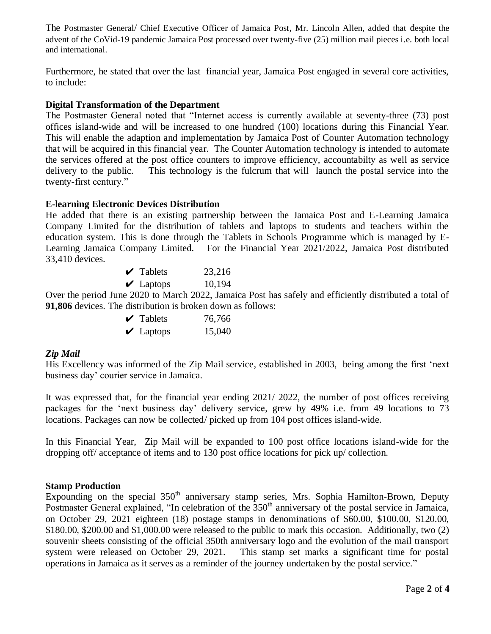The Postmaster General/ Chief Executive Officer of Jamaica Post, Mr. Lincoln Allen, added that despite the advent of the CoVid-19 pandemic Jamaica Post processed over twenty-five (25) million mail pieces i.e. both local and international.

Furthermore, he stated that over the last financial year, Jamaica Post engaged in several core activities, to include:

### **Digital Transformation of the Department**

The Postmaster General noted that "Internet access is currently available at seventy-three (73) post offices island-wide and will be increased to one hundred (100) locations during this Financial Year. This will enable the adaption and implementation by Jamaica Post of Counter Automation technology that will be acquired in this financial year. The Counter Automation technology is intended to automate the services offered at the post office counters to improve efficiency, accountabilty as well as service delivery to the public. This technology is the fulcrum that will launch the postal service into the twenty-first century."

#### **E-learning Electronic Devices Distribution**

He added that there is an existing partnership between the Jamaica Post and E-Learning Jamaica Company Limited for the distribution of tablets and laptops to students and teachers within the education system. This is done through the Tablets in Schools Programme which is managed by E-Learning Jamaica Company Limited. For the Financial Year 2021/2022, Jamaica Post distributed 33,410 devices.

| $\vee$ Tablets | 23,216 |
|----------------|--------|
| $\vee$ Laptops | 10,194 |

Over the period June 2020 to March 2022, Jamaica Post has safely and efficiently distributed a total of **91,806** devices. The distribution is broken down as follows:

| $\vee$ Tablets | 76,766 |
|----------------|--------|
| $\vee$ Laptops | 15,040 |

#### *Zip Mail*

His Excellency was informed of the Zip Mail service, established in 2003, being among the first 'next business day' courier service in Jamaica.

It was expressed that, for the financial year ending 2021/ 2022, the number of post offices receiving packages for the 'next business day' delivery service, grew by 49% i.e. from 49 locations to 73 locations. Packages can now be collected/ picked up from 104 post offices island-wide.

In this Financial Year, Zip Mail will be expanded to 100 post office locations island-wide for the dropping off/ acceptance of items and to 130 post office locations for pick up/ collection.

## **Stamp Production**

Expounding on the special  $350<sup>th</sup>$  anniversary stamp series, Mrs. Sophia Hamilton-Brown, Deputy Postmaster General explained, "In celebration of the 350<sup>th</sup> anniversary of the postal service in Jamaica, on October 29, 2021 eighteen (18) postage stamps in denominations of \$60.00, \$100.00, \$120.00, \$180.00, \$200.00 and \$1,000.00 were released to the public to mark this occasion. Additionally, two (2) souvenir sheets consisting of the official 350th anniversary logo and the evolution of the mail transport system were released on October 29, 2021. This stamp set marks a significant time for postal operations in Jamaica as it serves as a reminder of the journey undertaken by the postal service."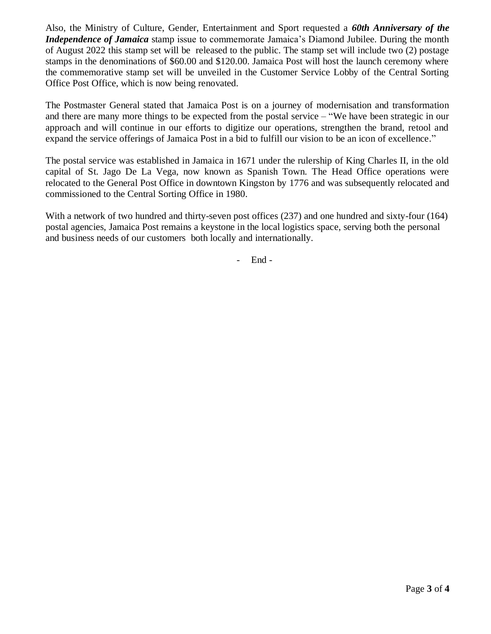Also, the Ministry of Culture, Gender, Entertainment and Sport requested a *60th Anniversary of the Independence of Jamaica* stamp issue to commemorate Jamaica's Diamond Jubilee. During the month of August 2022 this stamp set will be released to the public. The stamp set will include two (2) postage stamps in the denominations of \$60.00 and \$120.00. Jamaica Post will host the launch ceremony where the commemorative stamp set will be unveiled in the Customer Service Lobby of the Central Sorting Office Post Office, which is now being renovated.

The Postmaster General stated that Jamaica Post is on a journey of modernisation and transformation and there are many more things to be expected from the postal service – "We have been strategic in our approach and will continue in our efforts to digitize our operations, strengthen the brand, retool and expand the service offerings of Jamaica Post in a bid to fulfill our vision to be an icon of excellence."

The postal service was established in Jamaica in 1671 under the rulership of King Charles II, in the old capital of St. Jago De La Vega, now known as Spanish Town. The Head Office operations were relocated to the General Post Office in downtown Kingston by 1776 and was subsequently relocated and commissioned to the Central Sorting Office in 1980.

With a network of two hundred and thirty-seven post offices (237) and one hundred and sixty-four (164) postal agencies, Jamaica Post remains a keystone in the local logistics space, serving both the personal and business needs of our customers both locally and internationally.

- End -